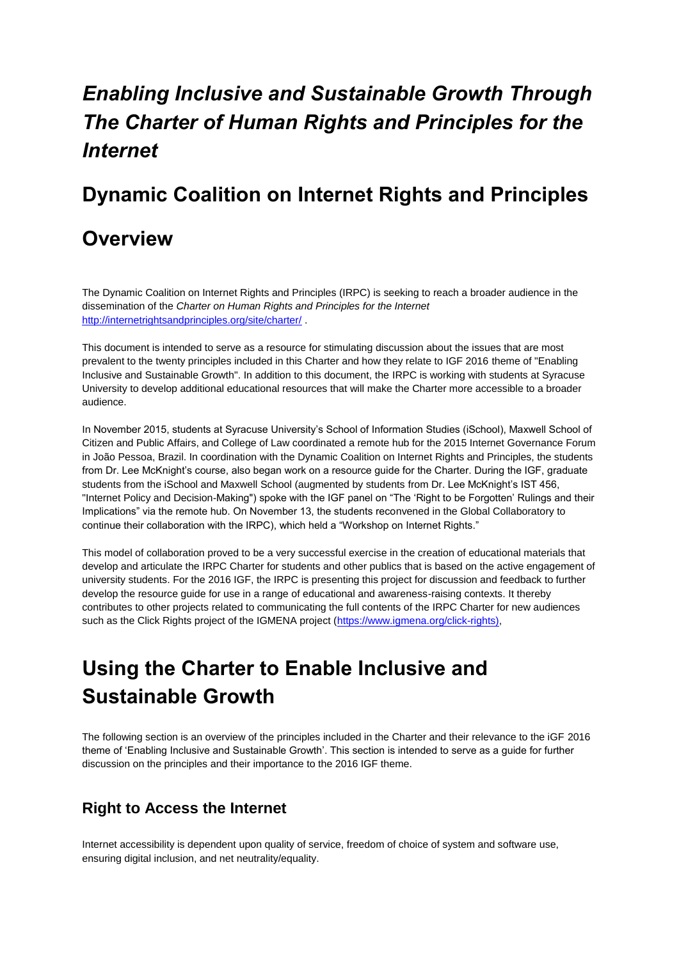# *Enabling Inclusive and Sustainable Growth Through The Charter of Human Rights and Principles for the Internet*

# **Dynamic Coalition on Internet Rights and Principles**

# **Overview**

The Dynamic Coalition on Internet Rights and Principles (IRPC) is seeking to reach a broader audience in the dissemination of the *Charter on Human Rights and Principles for the Internet* <http://internetrightsandprinciples.org/site/charter/>

This document is intended to serve as a resource for stimulating discussion about the issues that are most prevalent to the twenty principles included in this Charter and how they relate to IGF 2016 theme of "Enabling Inclusive and Sustainable Growth". In addition to this document, the IRPC is working with students at Syracuse University to develop additional educational resources that will make the Charter more accessible to a broader audience.

In November 2015, students at Syracuse University's School of Information Studies (iSchool), Maxwell School of Citizen and Public Affairs, and College of Law coordinated a remote hub for the 2015 Internet Governance Forum in João Pessoa, Brazil. In coordination with the Dynamic Coalition on Internet Rights and Principles, the students from Dr. Lee McKnight's course, also began work on a resource guide for the Charter. During the IGF, graduate students from the iSchool and Maxwell School (augmented by students from Dr. Lee McKnight's IST 456, "Internet Policy and Decision-Making") spoke with the IGF panel on "The 'Right to be Forgotten' Rulings and their Implications" via the remote hub. On November 13, the students reconvened in the Global Collaboratory to continue their collaboration with the IRPC), which held a "Workshop on Internet Rights."

This model of collaboration proved to be a very successful exercise in the creation of educational materials that develop and articulate the IRPC Charter for students and other publics that is based on the active engagement of university students. For the 2016 IGF, the IRPC is presenting this project for discussion and feedback to further develop the resource guide for use in a range of educational and awareness-raising contexts. It thereby contributes to other projects related to communicating the full contents of the IRPC Charter for new audiences such as the Click Rights project of the IGMENA project (https://www.jgmena.org/click-rights),

# **Using the Charter to Enable Inclusive and Sustainable Growth**

The following section is an overview of the principles included in the Charter and their relevance to the iGF 2016 theme of 'Enabling Inclusive and Sustainable Growth'. This section is intended to serve as a guide for further discussion on the principles and their importance to the 2016 IGF theme.

## **Right to Access the Internet**

Internet accessibility is dependent upon quality of service, freedom of choice of system and software use, ensuring digital inclusion, and net neutrality/equality.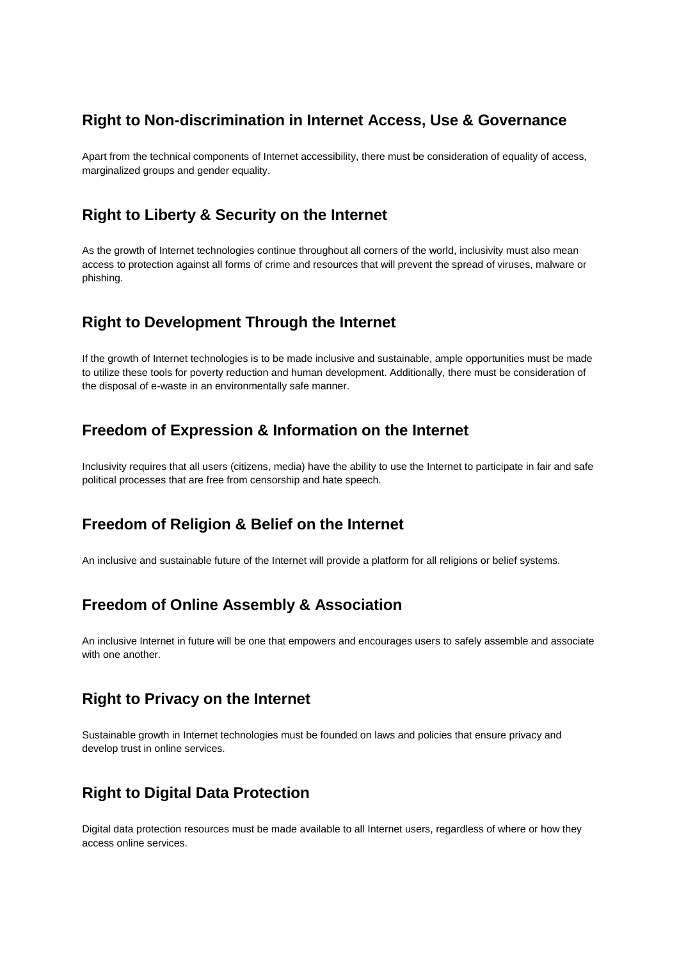## **Right to Non-discrimination in Internet Access, Use & Governance**

Apart from the technical components of Internet accessibility, there must be consideration of equality of access, marginalized groups and gender equality.

## **Right to Liberty & Security on the Internet**

As the growth of Internet technologies continue throughout all corners of the world, inclusivity must also mean access to protection against all forms of crime and resources that will prevent the spread of viruses, malware or phishing.

## **Right to Development Through the Internet**

If the growth of Internet technologies is to be made inclusive and sustainable, ample opportunities must be made to utilize these tools for poverty reduction and human development. Additionally, there must be consideration of the disposal of e-waste in an environmentally safe manner.

## **Freedom of Expression & Information on the Internet**

Inclusivity requires that all users (citizens, media) have the ability to use the Internet to participate in fair and safe political processes that are free from censorship and hate speech.

## **Freedom of Religion & Belief on the Internet**

An inclusive and sustainable future of the Internet will provide a platform for all religions or belief systems.

# **Freedom of Online Assembly & Association**

An inclusive Internet in future will be one that empowers and encourages users to safely assemble and associate with one another.

## **Right to Privacy on the Internet**

Sustainable growth in Internet technologies must be founded on laws and policies that ensure privacy and develop trust in online services.

# **Right to Digital Data Protection**

Digital data protection resources must be made available to all Internet users, regardless of where or how they access online services.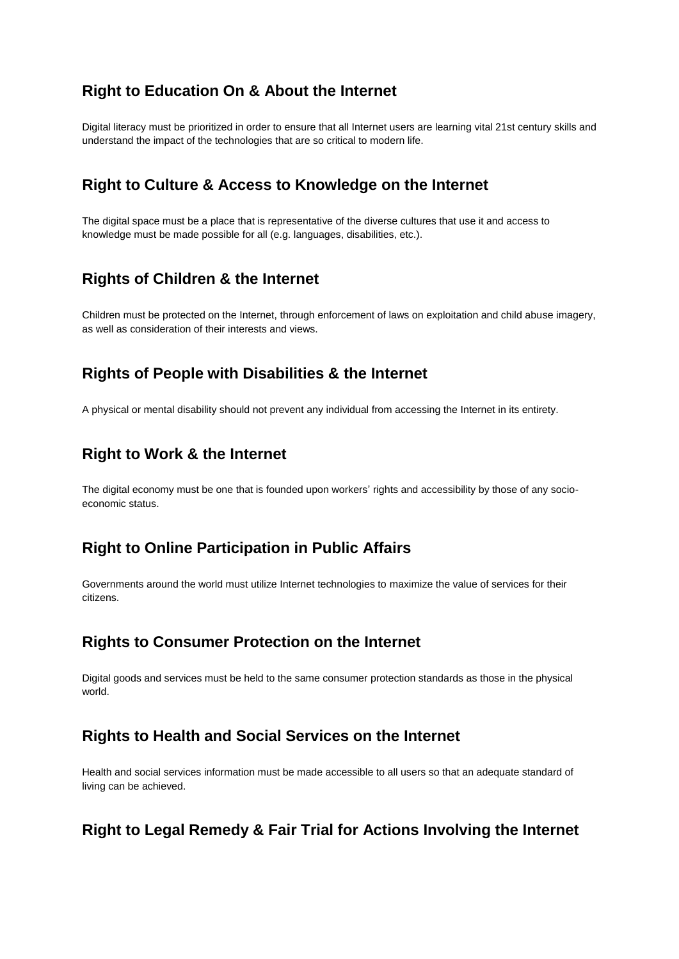## **Right to Education On & About the Internet**

Digital literacy must be prioritized in order to ensure that all Internet users are learning vital 21st century skills and understand the impact of the technologies that are so critical to modern life.

#### **Right to Culture & Access to Knowledge on the Internet**

The digital space must be a place that is representative of the diverse cultures that use it and access to knowledge must be made possible for all (e.g. languages, disabilities, etc.).

#### **Rights of Children & the Internet**

Children must be protected on the Internet, through enforcement of laws on exploitation and child abuse imagery, as well as consideration of their interests and views.

#### **Rights of People with Disabilities & the Internet**

A physical or mental disability should not prevent any individual from accessing the Internet in its entirety.

#### **Right to Work & the Internet**

The digital economy must be one that is founded upon workers' rights and accessibility by those of any socioeconomic status.

#### **Right to Online Participation in Public Affairs**

Governments around the world must utilize Internet technologies to maximize the value of services for their citizens.

#### **Rights to Consumer Protection on the Internet**

Digital goods and services must be held to the same consumer protection standards as those in the physical world.

#### **Rights to Health and Social Services on the Internet**

Health and social services information must be made accessible to all users so that an adequate standard of living can be achieved.

## **Right to Legal Remedy & Fair Trial for Actions Involving the Internet**